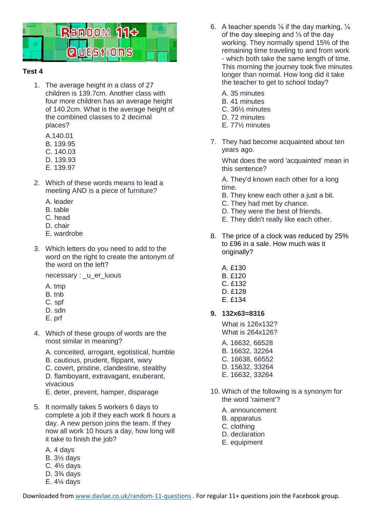

## **Test 4**

- 1. The average height in a class of 27 children is 139.7cm. Another class with four more children has an average height of 140.2cm. What is the average height of the combined classes to 2 decimal places?
	- A.140.01
	- B. 139.95
	- C. 140.03
	- D. 139.93
	- E. 139.97
- 2. Which of these words means to lead a meeting AND is a piece of furniture?
	- A. leader
	- B. table
	- C. head
	- D. chair
	- E. wardrobe
- 3. Which letters do you need to add to the word on the right to create the antonym of the word on the left?

necessary : \_u\_er\_luous

- A. tmp
- B. tnb
- C. spf
- D. sdn
- E. prf
- 4. Which of these groups of words are the most similar in meaning?
	- A. conceited, arrogant, egotistical, humble

B. cautious, prudent, flippant, wary C. covert, pristine, clandestine, stealthy D. flamboyant, extravagant, exuberant, vivacious

E. deter, prevent, hamper, disparage

- 5. It normally takes 5 workers 6 days to complete a job if they each work 8 hours a day. A new person joins the team. If they now all work 10 hours a day, how long will it take to finish the job?
	- A. 4 days B. 3½ days C. 4½ days D. 3¾ days E. 4¼ days
- 6. A teacher spends  $\frac{1}{6}$  if the day marking,  $\frac{1}{4}$ of the day sleeping and ⅓ of the day working. They normally spend 15% of the remaining time traveling to and from work - which both take the same length of time. This morning the journey took five minutes longer than normal. How long did it take the teacher to get to school today?
	- A. 35 minutes
	- B. 41 minutes
	- C. 36½ minutes
	- D. 72 minutes
	- E. 77½ minutes
- 7. They had become acquainted about ten years ago.

What does the word 'acquainted' mean in this sentence?

A. They'd known each other for a long time.

- B. They knew each other a just a bit.
- C. They had met by chance.
- D. They were the best of friends.
- E. They didn't really like each other.
- 8. The price of a clock was reduced by 25% to £96 in a sale. How much was it originally?
	- A. £130
	- B. £120
	- C. £132
	- D. £128
	- E. £134

## **9. 132x63=8316**

What is 126x132? What is 264x126?

- A. 16632, 66528
- B. 16632, 32264
- C. 16638, 66552
- D. 15632, 33264
- E. 16632, 33264
- 10. Which of the following is a synonym for the word 'raiment'?
	- A. announcement
	- B. apparatus
	- C. clothing
	- D. declaration
	- E. equipment